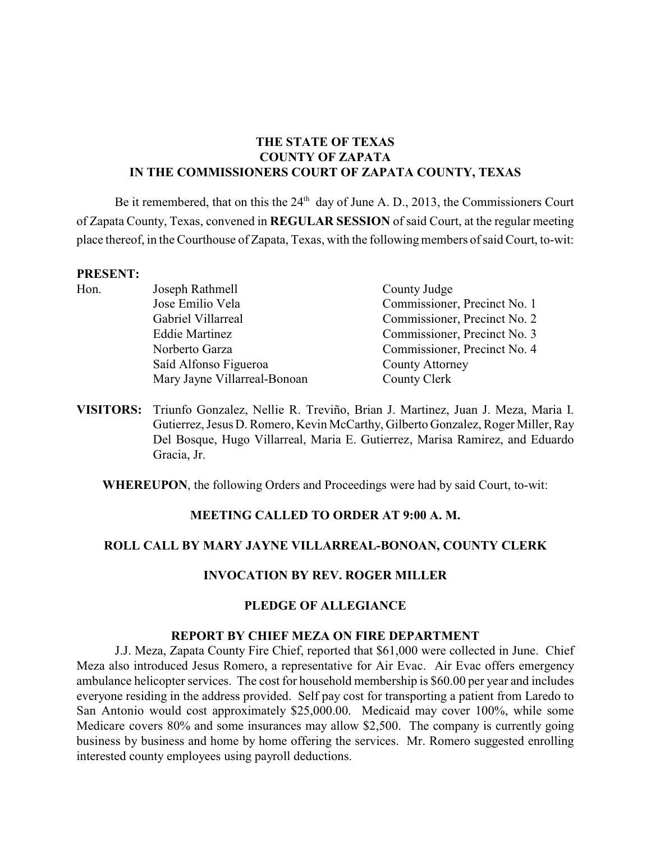# **THE STATE OF TEXAS COUNTY OF ZAPATA IN THE COMMISSIONERS COURT OF ZAPATA COUNTY, TEXAS**

Be it remembered, that on this the  $24<sup>th</sup>$  day of June A. D., 2013, the Commissioners Court of Zapata County, Texas, convened in **REGULAR SESSION** of said Court, at the regular meeting place thereof, in the Courthouse of Zapata, Texas, with the following members of said Court, to-wit:

#### **PRESENT:**

| Hon. | Joseph Rathmell              | County Judge                 |
|------|------------------------------|------------------------------|
|      | Jose Emilio Vela             | Commissioner, Precinct No. 1 |
|      | Gabriel Villarreal           | Commissioner, Precinct No. 2 |
|      | <b>Eddie Martinez</b>        | Commissioner, Precinct No. 3 |
|      | Norberto Garza               | Commissioner, Precinct No. 4 |
|      | Saíd Alfonso Figueroa        | <b>County Attorney</b>       |
|      | Mary Jayne Villarreal-Bonoan | County Clerk                 |
|      |                              |                              |

**VISITORS:** Triunfo Gonzalez, Nellie R. Treviño, Brian J. Martinez, Juan J. Meza, Maria I. Gutierrez, Jesus D. Romero, Kevin McCarthy, Gilberto Gonzalez, Roger Miller, Ray Del Bosque, Hugo Villarreal, Maria E. Gutierrez, Marisa Ramirez, and Eduardo Gracia, Jr.

**WHEREUPON**, the following Orders and Proceedings were had by said Court, to-wit:

#### **MEETING CALLED TO ORDER AT 9:00 A. M.**

# **ROLL CALL BY MARY JAYNE VILLARREAL-BONOAN, COUNTY CLERK**

# **INVOCATION BY REV. ROGER MILLER**

#### **PLEDGE OF ALLEGIANCE**

#### **REPORT BY CHIEF MEZA ON FIRE DEPARTMENT**

J.J. Meza, Zapata County Fire Chief, reported that \$61,000 were collected in June. Chief Meza also introduced Jesus Romero, a representative for Air Evac. Air Evac offers emergency ambulance helicopter services. The cost for household membership is \$60.00 per year and includes everyone residing in the address provided. Self pay cost for transporting a patient from Laredo to San Antonio would cost approximately \$25,000.00. Medicaid may cover 100%, while some Medicare covers 80% and some insurances may allow \$2,500. The company is currently going business by business and home by home offering the services. Mr. Romero suggested enrolling interested county employees using payroll deductions.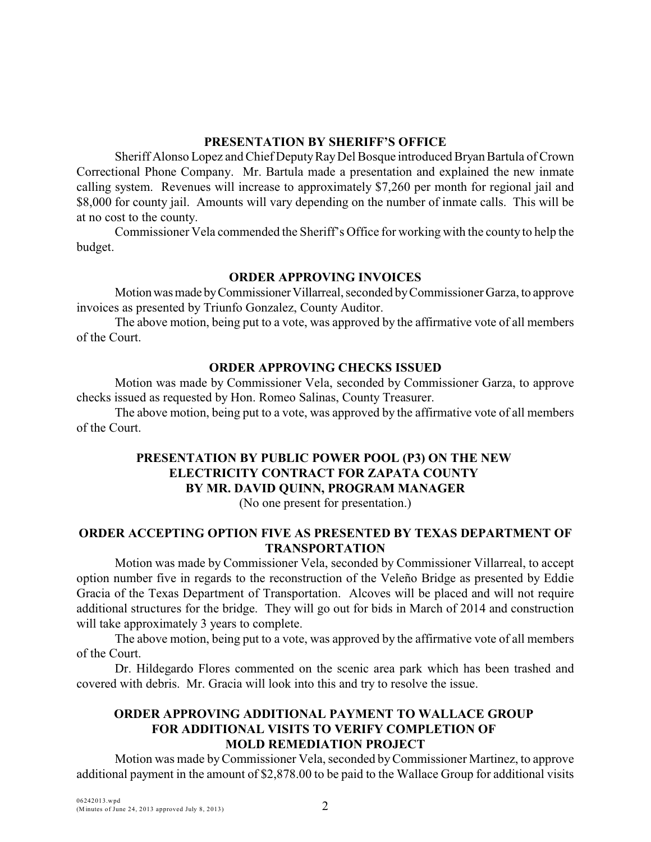#### **PRESENTATION BY SHERIFF'S OFFICE**

Sheriff Alonso Lopez and Chief Deputy Ray Del Bosque introduced Bryan Bartula of Crown Correctional Phone Company. Mr. Bartula made a presentation and explained the new inmate calling system. Revenues will increase to approximately \$7,260 per month for regional jail and \$8,000 for county jail. Amounts will vary depending on the number of inmate calls. This will be at no cost to the county.

Commissioner Vela commended the Sheriff's Office for working with the county to help the budget.

## **ORDER APPROVING INVOICES**

Motion was made by Commissioner Villarreal, seconded by Commissioner Garza, to approve invoices as presented by Triunfo Gonzalez, County Auditor.

The above motion, being put to a vote, was approved by the affirmative vote of all members of the Court.

## **ORDER APPROVING CHECKS ISSUED**

Motion was made by Commissioner Vela, seconded by Commissioner Garza, to approve checks issued as requested by Hon. Romeo Salinas, County Treasurer.

The above motion, being put to a vote, was approved by the affirmative vote of all members of the Court.

# **PRESENTATION BY PUBLIC POWER POOL (P3) ON THE NEW ELECTRICITY CONTRACT FOR ZAPATA COUNTY BY MR. DAVID QUINN, PROGRAM MANAGER**

(No one present for presentation.)

## **ORDER ACCEPTING OPTION FIVE AS PRESENTED BY TEXAS DEPARTMENT OF TRANSPORTATION**

Motion was made by Commissioner Vela, seconded by Commissioner Villarreal, to accept option number five in regards to the reconstruction of the Veleño Bridge as presented by Eddie Gracia of the Texas Department of Transportation. Alcoves will be placed and will not require additional structures for the bridge. They will go out for bids in March of 2014 and construction will take approximately 3 years to complete.

The above motion, being put to a vote, was approved by the affirmative vote of all members of the Court.

Dr. Hildegardo Flores commented on the scenic area park which has been trashed and covered with debris. Mr. Gracia will look into this and try to resolve the issue.

## **ORDER APPROVING ADDITIONAL PAYMENT TO WALLACE GROUP FOR ADDITIONAL VISITS TO VERIFY COMPLETION OF MOLD REMEDIATION PROJECT**

Motion was made by Commissioner Vela, seconded byCommissioner Martinez, to approve additional payment in the amount of \$2,878.00 to be paid to the Wallace Group for additional visits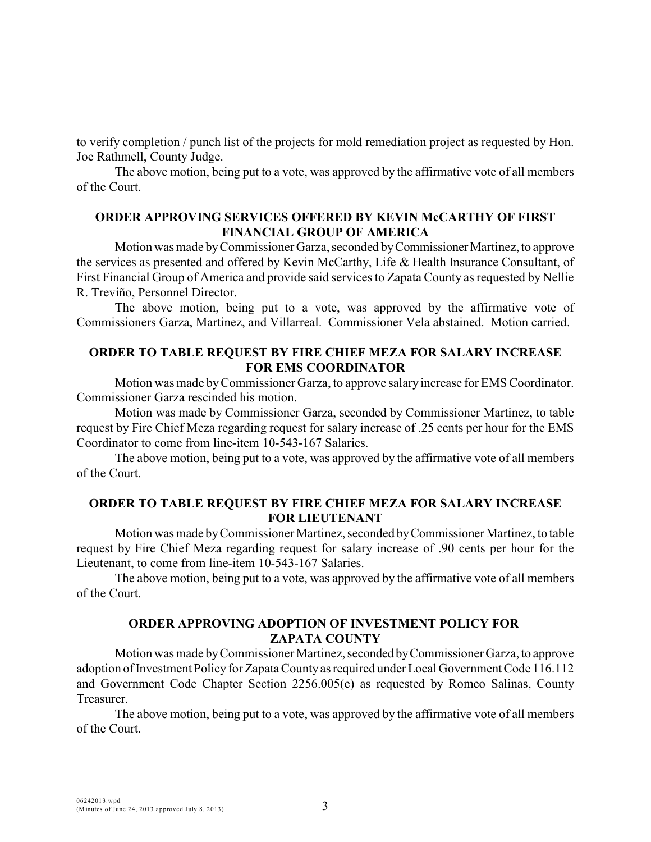to verify completion / punch list of the projects for mold remediation project as requested by Hon. Joe Rathmell, County Judge.

The above motion, being put to a vote, was approved by the affirmative vote of all members of the Court.

## **ORDER APPROVING SERVICES OFFERED BY KEVIN McCARTHY OF FIRST FINANCIAL GROUP OF AMERICA**

Motion was made by Commissioner Garza, seconded by Commissioner Martinez, to approve the services as presented and offered by Kevin McCarthy, Life & Health Insurance Consultant, of First Financial Group of America and provide said services to Zapata County as requested by Nellie R. Treviño, Personnel Director.

The above motion, being put to a vote, was approved by the affirmative vote of Commissioners Garza, Martinez, and Villarreal. Commissioner Vela abstained. Motion carried.

# **ORDER TO TABLE REQUEST BY FIRE CHIEF MEZA FOR SALARY INCREASE FOR EMS COORDINATOR**

Motion was made byCommissioner Garza, to approve salary increase for EMS Coordinator. Commissioner Garza rescinded his motion.

Motion was made by Commissioner Garza, seconded by Commissioner Martinez, to table request by Fire Chief Meza regarding request for salary increase of .25 cents per hour for the EMS Coordinator to come from line-item 10-543-167 Salaries.

The above motion, being put to a vote, was approved by the affirmative vote of all members of the Court.

# **ORDER TO TABLE REQUEST BY FIRE CHIEF MEZA FOR SALARY INCREASE FOR LIEUTENANT**

Motion was made by Commissioner Martinez, seconded by Commissioner Martinez, to table request by Fire Chief Meza regarding request for salary increase of .90 cents per hour for the Lieutenant, to come from line-item 10-543-167 Salaries.

The above motion, being put to a vote, was approved by the affirmative vote of all members of the Court.

# **ORDER APPROVING ADOPTION OF INVESTMENT POLICY FOR ZAPATA COUNTY**

Motion was made by Commissioner Martinez, seconded by Commissioner Garza, to approve adoption of Investment Policy for Zapata County as required under Local Government Code 116.112 and Government Code Chapter Section 2256.005(e) as requested by Romeo Salinas, County Treasurer.

The above motion, being put to a vote, was approved by the affirmative vote of all members of the Court.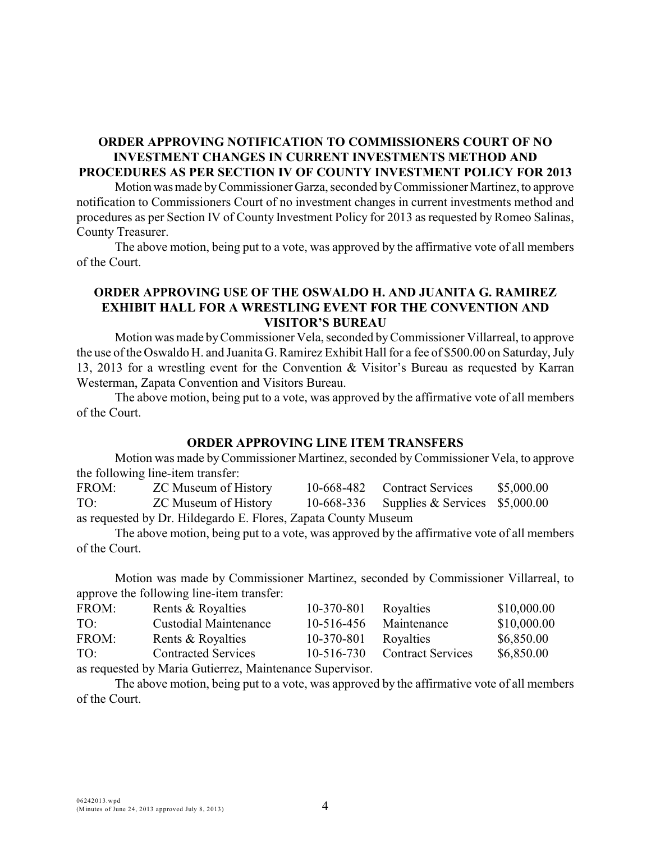#### **ORDER APPROVING NOTIFICATION TO COMMISSIONERS COURT OF NO INVESTMENT CHANGES IN CURRENT INVESTMENTS METHOD AND PROCEDURES AS PER SECTION IV OF COUNTY INVESTMENT POLICY FOR 2013**

Motion was made by Commissioner Garza, seconded by Commissioner Martinez, to approve notification to Commissioners Court of no investment changes in current investments method and procedures as per Section IV of County Investment Policy for 2013 as requested by Romeo Salinas, County Treasurer.

The above motion, being put to a vote, was approved by the affirmative vote of all members of the Court.

## **ORDER APPROVING USE OF THE OSWALDO H. AND JUANITA G. RAMIREZ EXHIBIT HALL FOR A WRESTLING EVENT FOR THE CONVENTION AND VISITOR'S BUREAU**

Motion was made byCommissioner Vela, seconded by Commissioner Villarreal, to approve the use of the Oswaldo H. and Juanita G. Ramirez Exhibit Hall for a fee of \$500.00 on Saturday, July 13, 2013 for a wrestling event for the Convention & Visitor's Bureau as requested by Karran Westerman, Zapata Convention and Visitors Bureau.

The above motion, being put to a vote, was approved by the affirmative vote of all members of the Court.

#### **ORDER APPROVING LINE ITEM TRANSFERS**

Motion was made by Commissioner Martinez, seconded byCommissioner Vela, to approve the following line-item transfer:

FROM: ZC Museum of History 10-668-482 Contract Services \$5,000.00 TO: ZC Museum of History 10-668-336 Supplies & Services \$5,000.00 as requested by Dr. Hildegardo E. Flores, Zapata County Museum

The above motion, being put to a vote, was approved by the affirmative vote of all members of the Court.

Motion was made by Commissioner Martinez, seconded by Commissioner Villarreal, to approve the following line-item transfer:

| FROM: | Rents & Royalties            | 10-370-801       | Royalties                | \$10,000.00 |
|-------|------------------------------|------------------|--------------------------|-------------|
| TO:   | <b>Custodial Maintenance</b> | 10-516-456       | Maintenance              | \$10,000.00 |
| FROM: | Rents & Royalties            | 10-370-801       | Royalties                | \$6,850.00  |
| TO:   | <b>Contracted Services</b>   | $10 - 516 - 730$ | <b>Contract Services</b> | \$6,850.00  |
|       |                              |                  |                          |             |

as requested by Maria Gutierrez, Maintenance Supervisor.

The above motion, being put to a vote, was approved by the affirmative vote of all members of the Court.